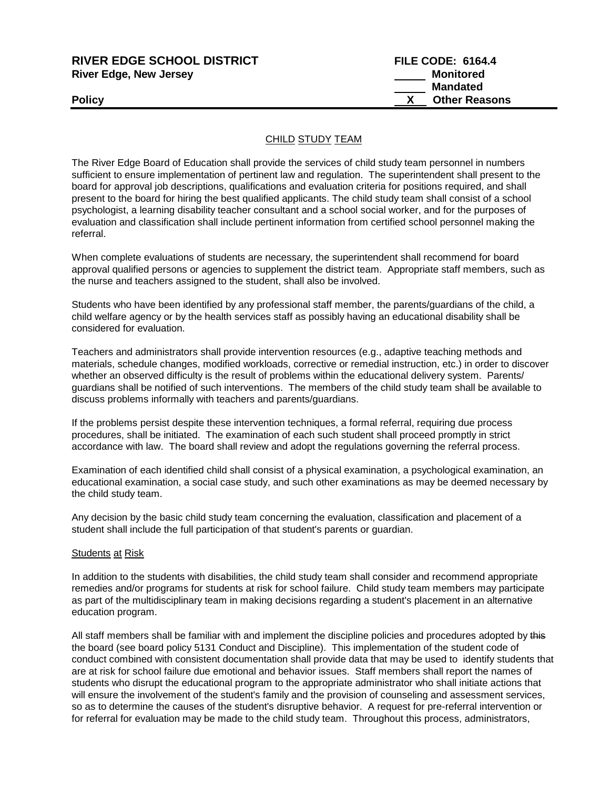| <b>RIVER EDGE SCHOOL DISTRICT</b> | <b>FILE CODE: 6164.4</b> |
|-----------------------------------|--------------------------|
| <b>River Edge, New Jersey</b>     | Monitored                |
|                                   | <b>Mandated</b>          |
| Policy                            | <b>Other Reasons</b>     |
|                                   |                          |

## CHILD STUDY TEAM

The River Edge Board of Education shall provide the services of child study team personnel in numbers sufficient to ensure implementation of pertinent law and regulation. The superintendent shall present to the board for approval job descriptions, qualifications and evaluation criteria for positions required, and shall present to the board for hiring the best qualified applicants. The child study team shall consist of a school psychologist, a learning disability teacher consultant and a school social worker, and for the purposes of evaluation and classification shall include pertinent information from certified school personnel making the referral.

When complete evaluations of students are necessary, the superintendent shall recommend for board approval qualified persons or agencies to supplement the district team. Appropriate staff members, such as the nurse and teachers assigned to the student, shall also be involved.

Students who have been identified by any professional staff member, the parents/guardians of the child, a child welfare agency or by the health services staff as possibly having an educational disability shall be considered for evaluation.

Teachers and administrators shall provide intervention resources (e.g., adaptive teaching methods and materials, schedule changes, modified workloads, corrective or remedial instruction, etc.) in order to discover whether an observed difficulty is the result of problems within the educational delivery system. Parents/ guardians shall be notified of such interventions. The members of the child study team shall be available to discuss problems informally with teachers and parents/guardians.

If the problems persist despite these intervention techniques, a formal referral, requiring due process procedures, shall be initiated. The examination of each such student shall proceed promptly in strict accordance with law. The board shall review and adopt the regulations governing the referral process.

Examination of each identified child shall consist of a physical examination, a psychological examination, an educational examination, a social case study, and such other examinations as may be deemed necessary by the child study team.

Any decision by the basic child study team concerning the evaluation, classification and placement of a student shall include the full participation of that student's parents or guardian.

## **Students at Risk**

In addition to the students with disabilities, the child study team shall consider and recommend appropriate remedies and/or programs for students at risk for school failure. Child study team members may participate as part of the multidisciplinary team in making decisions regarding a student's placement in an alternative education program.

All staff members shall be familiar with and implement the discipline policies and procedures adopted by this the board (see board policy 5131 Conduct and Discipline). This implementation of the student code of conduct combined with consistent documentation shall provide data that may be used to identify students that are at risk for school failure due emotional and behavior issues. Staff members shall report the names of students who disrupt the educational program to the appropriate administrator who shall initiate actions that will ensure the involvement of the student's family and the provision of counseling and assessment services, so as to determine the causes of the student's disruptive behavior. A request for pre-referral intervention or for referral for evaluation may be made to the child study team. Throughout this process, administrators,